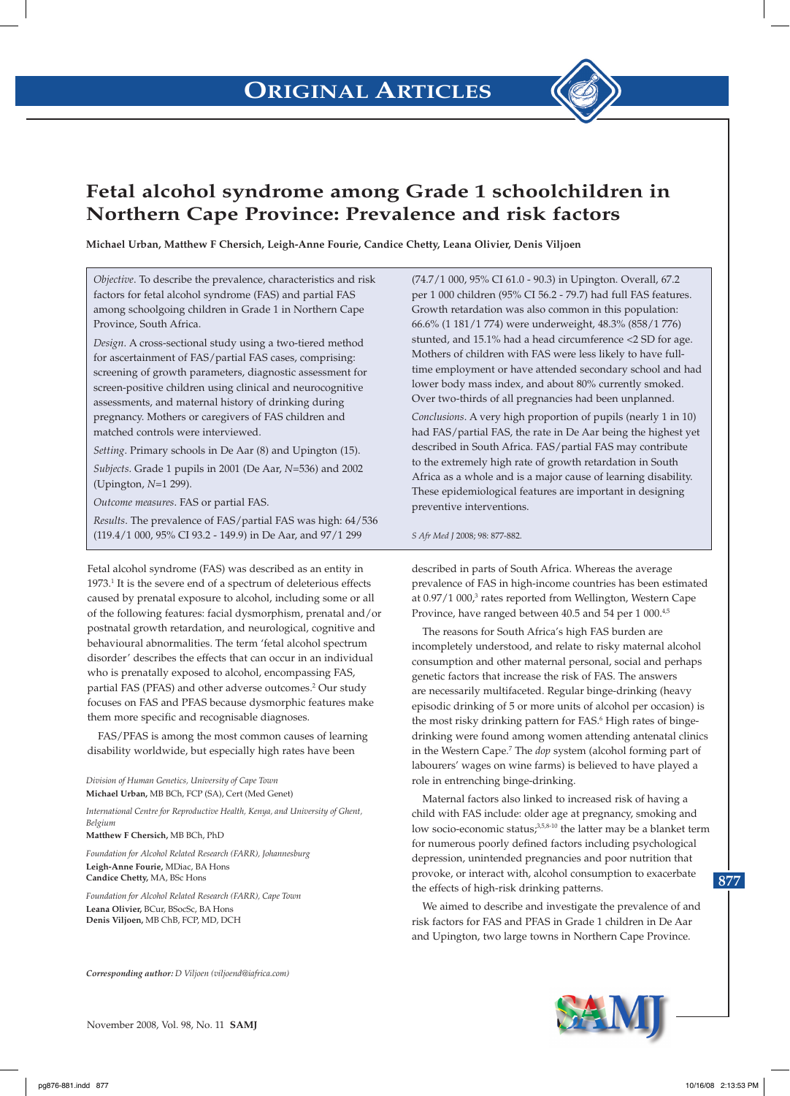

# **Fetal alcohol syndrome among Grade 1 schoolchildren in Northern Cape Province: Prevalence and risk factors**

**Michael Urban, Matthew F Chersich, Leigh-Anne Fourie, Candice Chetty, Leana Olivier, Denis Viljoen**

*Objective*. To describe the prevalence, characteristics and risk factors for fetal alcohol syndrome (FAS) and partial FAS among schoolgoing children in Grade 1 in Northern Cape Province, South Africa.

*Design*. A cross-sectional study using a two-tiered method for ascertainment of FAS/partial FAS cases, comprising: screening of growth parameters, diagnostic assessment for screen-positive children using clinical and neurocognitive assessments, and maternal history of drinking during pregnancy. Mothers or caregivers of FAS children and matched controls were interviewed.

*Setting*. Primary schools in De Aar (8) and Upington (15). *Subjects*. Grade 1 pupils in 2001 (De Aar, *N*=536) and 2002 (Upington, *N*=1 299).

*Outcome measures*. FAS or partial FAS.

*Results*. The prevalence of FAS/partial FAS was high: 64/536 (119.4/1 000, 95% CI 93.2 - 149.9) in De Aar, and 97/1 299

Fetal alcohol syndrome (FAS) was described as an entity in 1973.<sup>1</sup> It is the severe end of a spectrum of deleterious effects caused by prenatal exposure to alcohol, including some or all of the following features: facial dysmorphism, prenatal and/or postnatal growth retardation, and neurological, cognitive and behavioural abnormalities. The term 'fetal alcohol spectrum disorder' describes the effects that can occur in an individual who is prenatally exposed to alcohol, encompassing FAS, partial FAS (PFAS) and other adverse outcomes.<sup>2</sup> Our study focuses on FAS and PFAS because dysmorphic features make them more specific and recognisable diagnoses.

FAS/PFAS is among the most common causes of learning disability worldwide, but especially high rates have been

*Division of Human Genetics, University of Cape Town* **Michael Urban,** MB BCh, FCP (SA), Cert (Med Genet)

*International Centre for Reproductive Health, Kenya, and University of Ghent, Belgium*

**Matthew F Chersich,** MB BCh, PhD

*Foundation for Alcohol Related Research (FARR), Johannesburg* **Leigh-Anne Fourie,** MDiac, BA Hons **Candice Chetty,** MA, BSc Hons

*Foundation for Alcohol Related Research (FARR), Cape Town* **Leana Olivier,** BCur, BSocSc, BA Hons **Denis Viljoen,** MB ChB, FCP, MD, DCH

*Corresponding author: D Viljoen (viljoend@iafrica.com)*

November 2008, Vol. 98, No. 11 **SAMJ**

(74.7/1 000, 95% CI 61.0 - 90.3) in Upington. Overall, 67.2 per 1 000 children (95% CI 56.2 - 79.7) had full FAS features. Growth retardation was also common in this population: 66.6% (1 181/1 774) were underweight, 48.3% (858/1 776) stunted, and 15.1% had a head circumference <2 SD for age. Mothers of children with FAS were less likely to have fulltime employment or have attended secondary school and had lower body mass index, and about 80% currently smoked. Over two-thirds of all pregnancies had been unplanned.

*Conclusions*. A very high proportion of pupils (nearly 1 in 10) had FAS/partial FAS, the rate in De Aar being the highest yet described in South Africa. FAS/partial FAS may contribute to the extremely high rate of growth retardation in South Africa as a whole and is a major cause of learning disability. These epidemiological features are important in designing preventive interventions.

*S Afr Med J* 2008; 98: 877-882.

described in parts of South Africa. Whereas the average prevalence of FAS in high-income countries has been estimated at 0.97/1 000,<sup>3</sup> rates reported from Wellington, Western Cape Province, have ranged between 40.5 and 54 per 1 000.4,5

The reasons for South Africa's high FAS burden are incompletely understood, and relate to risky maternal alcohol consumption and other maternal personal, social and perhaps genetic factors that increase the risk of FAS. The answers are necessarily multifaceted. Regular binge-drinking (heavy episodic drinking of 5 or more units of alcohol per occasion) is the most risky drinking pattern for FAS.<sup>6</sup> High rates of bingedrinking were found among women attending antenatal clinics in the Western Cape.7 The *dop* system (alcohol forming part of labourers' wages on wine farms) is believed to have played a role in entrenching binge-drinking.

Maternal factors also linked to increased risk of having a child with FAS include: older age at pregnancy, smoking and low socio-economic status;<sup>3,5,8-10</sup> the latter may be a blanket term for numerous poorly defined factors including psychological depression, unintended pregnancies and poor nutrition that provoke, or interact with, alcohol consumption to exacerbate the effects of high-risk drinking patterns.

We aimed to describe and investigate the prevalence of and risk factors for FAS and PFAS in Grade 1 children in De Aar and Upington, two large towns in Northern Cape Province.

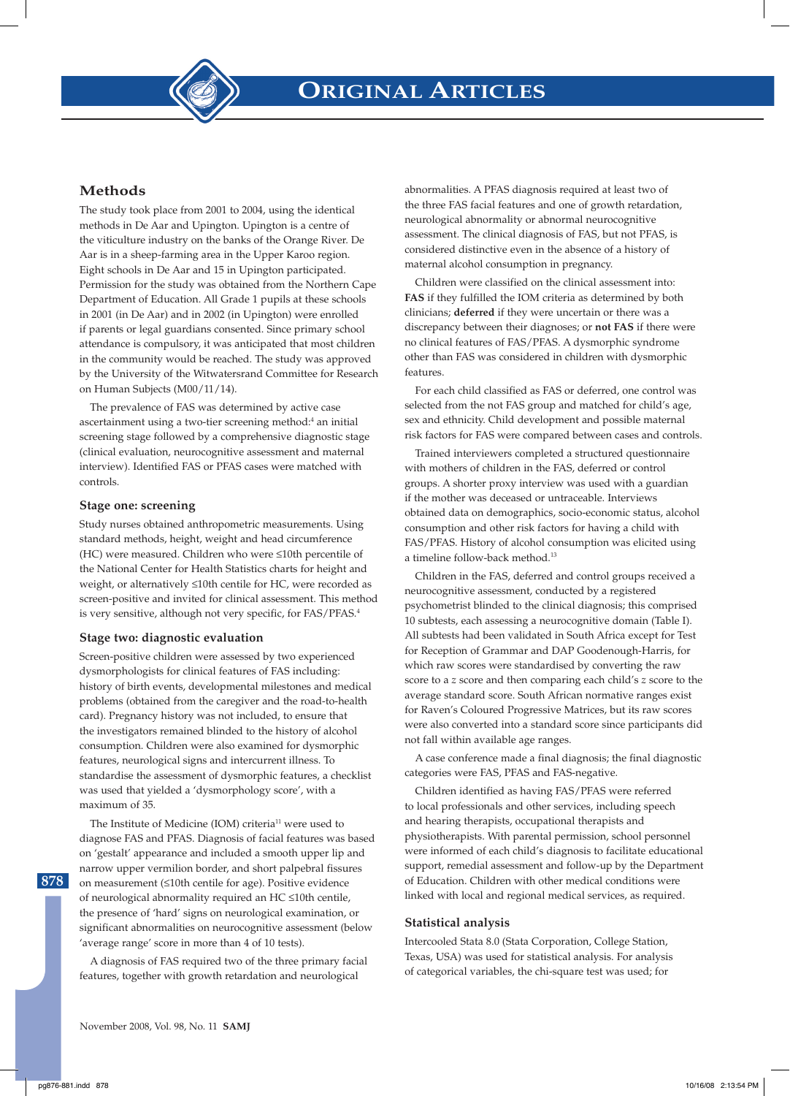



The study took place from 2001 to 2004, using the identical methods in De Aar and Upington. Upington is a centre of the viticulture industry on the banks of the Orange River. De Aar is in a sheep-farming area in the Upper Karoo region. Eight schools in De Aar and 15 in Upington participated. Permission for the study was obtained from the Northern Cape Department of Education. All Grade 1 pupils at these schools in 2001 (in De Aar) and in 2002 (in Upington) were enrolled if parents or legal guardians consented. Since primary school attendance is compulsory, it was anticipated that most children in the community would be reached. The study was approved by the University of the Witwatersrand Committee for Research on Human Subjects (M00/11/14).

The prevalence of FAS was determined by active case ascertainment using a two-tier screening method:<sup>4</sup> an initial screening stage followed by a comprehensive diagnostic stage (clinical evaluation, neurocognitive assessment and maternal interview). Identified FAS or PFAS cases were matched with controls.

## **Stage one: screening**

Study nurses obtained anthropometric measurements. Using standard methods, height, weight and head circumference (HC) were measured. Children who were ≤10th percentile of the National Center for Health Statistics charts for height and weight, or alternatively ≤10th centile for HC, were recorded as screen-positive and invited for clinical assessment. This method is very sensitive, although not very specific, for FAS/PFAS.4

## **Stage two: diagnostic evaluation**

Screen-positive children were assessed by two experienced dysmorphologists for clinical features of FAS including: history of birth events, developmental milestones and medical problems (obtained from the caregiver and the road-to-health card). Pregnancy history was not included, to ensure that the investigators remained blinded to the history of alcohol consumption. Children were also examined for dysmorphic features, neurological signs and intercurrent illness. To standardise the assessment of dysmorphic features, a checklist was used that yielded a 'dysmorphology score', with a maximum of 35.

The Institute of Medicine (IOM) criteria<sup>11</sup> were used to diagnose FAS and PFAS. Diagnosis of facial features was based on 'gestalt' appearance and included a smooth upper lip and narrow upper vermilion border, and short palpebral fissures on measurement (≤10th centile for age). Positive evidence of neurological abnormality required an HC ≤10th centile, the presence of 'hard' signs on neurological examination, or significant abnormalities on neurocognitive assessment (below 'average range' score in more than 4 of 10 tests).

A diagnosis of FAS required two of the three primary facial features, together with growth retardation and neurological

abnormalities. A PFAS diagnosis required at least two of the three FAS facial features and one of growth retardation, neurological abnormality or abnormal neurocognitive assessment. The clinical diagnosis of FAS, but not PFAS, is considered distinctive even in the absence of a history of maternal alcohol consumption in pregnancy.

Children were classified on the clinical assessment into: **FAS** if they fulfilled the IOM criteria as determined by both clinicians; **deferred** if they were uncertain or there was a discrepancy between their diagnoses; or **not FAS** if there were no clinical features of FAS/PFAS. A dysmorphic syndrome other than FAS was considered in children with dysmorphic features.

For each child classified as FAS or deferred, one control was selected from the not FAS group and matched for child's age, sex and ethnicity. Child development and possible maternal risk factors for FAS were compared between cases and controls.

Trained interviewers completed a structured questionnaire with mothers of children in the FAS, deferred or control groups. A shorter proxy interview was used with a guardian if the mother was deceased or untraceable. Interviews obtained data on demographics, socio-economic status, alcohol consumption and other risk factors for having a child with FAS/PFAS. History of alcohol consumption was elicited using a timeline follow-back method.13

Children in the FAS, deferred and control groups received a neurocognitive assessment, conducted by a registered psychometrist blinded to the clinical diagnosis; this comprised 10 subtests, each assessing a neurocognitive domain (Table I). All subtests had been validated in South Africa except for Test for Reception of Grammar and DAP Goodenough-Harris, for which raw scores were standardised by converting the raw score to a *z* score and then comparing each child's *z* score to the average standard score. South African normative ranges exist for Raven's Coloured Progressive Matrices, but its raw scores were also converted into a standard score since participants did not fall within available age ranges.

A case conference made a final diagnosis; the final diagnostic categories were FAS, PFAS and FAS-negative.

Children identified as having FAS/PFAS were referred to local professionals and other services, including speech and hearing therapists, occupational therapists and physiotherapists. With parental permission, school personnel were informed of each child's diagnosis to facilitate educational support, remedial assessment and follow-up by the Department of Education. Children with other medical conditions were linked with local and regional medical services, as required.

## **Statistical analysis**

Intercooled Stata 8.0 (Stata Corporation, College Station, Texas, USA) was used for statistical analysis. For analysis of categorical variables, the chi-square test was used; for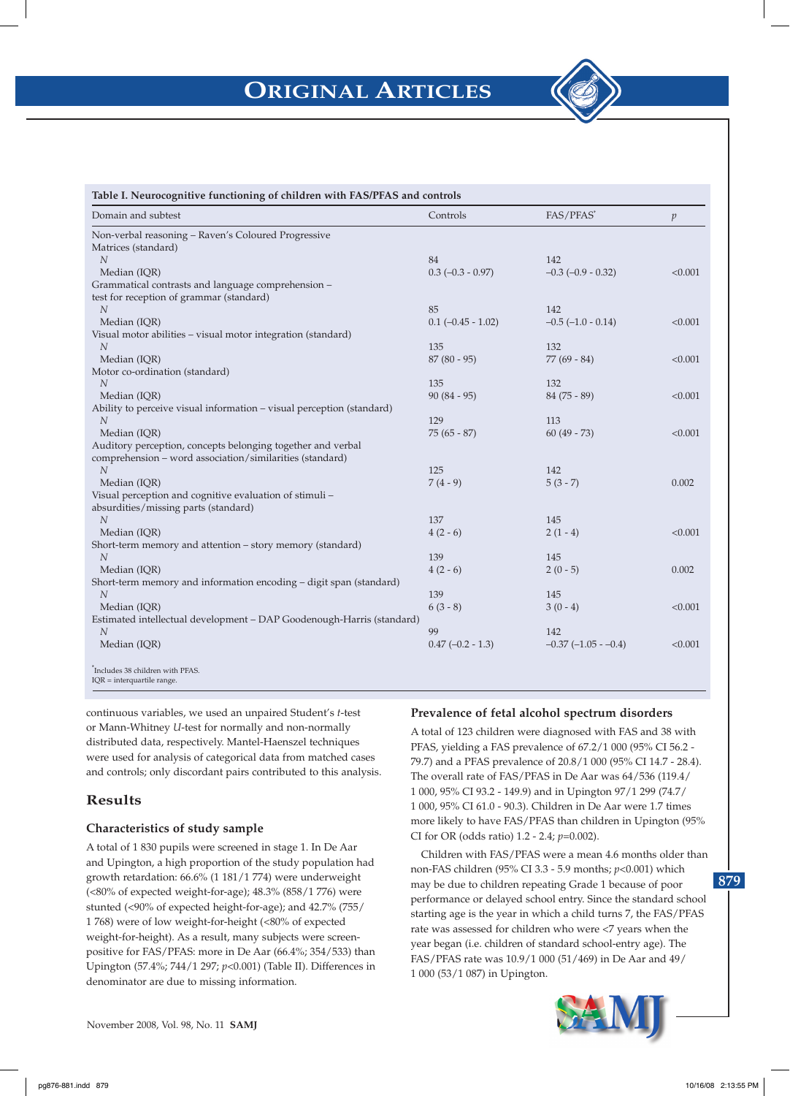

| Domain and subtest                                                    | Controls                 | FAS/PFAS*               | $\boldsymbol{p}$ |
|-----------------------------------------------------------------------|--------------------------|-------------------------|------------------|
| Non-verbal reasoning - Raven's Coloured Progressive                   |                          |                         |                  |
| Matrices (standard)                                                   |                          |                         |                  |
| $\overline{N}$                                                        | 84                       | 142                     |                  |
| Median (IQR)                                                          | $0.3$ (-0.3 - 0.97)      | $-0.3$ $(-0.9 - 0.32)$  | < 0.001          |
| Grammatical contrasts and language comprehension -                    |                          |                         |                  |
| test for reception of grammar (standard)                              |                          |                         |                  |
| $\boldsymbol{N}$                                                      | 85                       | 142                     |                  |
| Median (IQR)                                                          | $0.1$ ( $-0.45 - 1.02$ ) | $-0.5$ $(-1.0 - 0.14)$  | < 0.001          |
| Visual motor abilities – visual motor integration (standard)          |                          |                         |                  |
| $\overline{N}$                                                        | 135                      | 132                     |                  |
| Median (IQR)                                                          | $87(80 - 95)$            | $77(69 - 84)$           | < 0.001          |
| Motor co-ordination (standard)                                        |                          |                         |                  |
| N                                                                     | 135                      | 132                     |                  |
| Median (IQR)                                                          | $90(84-95)$              | $84(75-89)$             | < 0.001          |
| Ability to perceive visual information - visual perception (standard) |                          |                         |                  |
| N                                                                     | 129                      | 113                     |                  |
| Median (IOR)                                                          | $75(65 - 87)$            | $60(49 - 73)$           | < 0.001          |
| Auditory perception, concepts belonging together and verbal           |                          |                         |                  |
| comprehension - word association/similarities (standard)              |                          |                         |                  |
| $\overline{N}$                                                        | 125                      | 142                     |                  |
| Median (IQR)                                                          | $7(4-9)$                 | $5(3 - 7)$              | 0.002            |
| Visual perception and cognitive evaluation of stimuli -               |                          |                         |                  |
| absurdities/missing parts (standard)                                  |                          |                         |                  |
| $\overline{N}$                                                        | 137                      | 145                     |                  |
| Median (IQR)                                                          | $4(2-6)$                 | $2(1-4)$                | < 0.001          |
| Short-term memory and attention – story memory (standard)             |                          |                         |                  |
| $\overline{N}$                                                        | 139                      | 145                     |                  |
| Median (IQR)                                                          | $4(2-6)$                 | $2(0-5)$                | 0.002            |
| Short-term memory and information encoding – digit span (standard)    |                          |                         |                  |
| $\overline{N}$                                                        | 139                      | 145                     |                  |
| Median (IQR)                                                          | $6(3-8)$                 | $3(0-4)$                | < 0.001          |
| Estimated intellectual development - DAP Goodenough-Harris (standard) |                          |                         |                  |
| N                                                                     | 99                       | 142                     |                  |
| Median (IQR)                                                          | $0.47$ (-0.2 - 1.3)      | $-0.37$ $(-1.05 - 0.4)$ | < 0.001          |

continuous variables, we used an unpaired Student's *t*-test or Mann-Whitney *U*-test for normally and non-normally distributed data, respectively. Mantel-Haenszel techniques were used for analysis of categorical data from matched cases and controls; only discordant pairs contributed to this analysis.

# **Results**

# **Characteristics of study sample**

A total of 1 830 pupils were screened in stage 1. In De Aar and Upington, a high proportion of the study population had growth retardation: 66.6% (1 181/1 774) were underweight (<80% of expected weight-for-age); 48.3% (858/1 776) were stunted (<90% of expected height-for-age); and 42.7% (755/ 1 768) were of low weight-for-height (<80% of expected weight-for-height). As a result, many subjects were screenpositive for FAS/PFAS: more in De Aar (66.4%; 354/533) than Upington (57.4%; 744/1 297; *p*<0.001) (Table II). Differences in denominator are due to missing information.

# **Prevalence of fetal alcohol spectrum disorders**

A total of 123 children were diagnosed with FAS and 38 with PFAS, yielding a FAS prevalence of 67.2/1 000 (95% CI 56.2 - 79.7) and a PFAS prevalence of 20.8/1 000 (95% CI 14.7 - 28.4). The overall rate of FAS/PFAS in De Aar was 64/536 (119.4/ 1 000, 95% CI 93.2 - 149.9) and in Upington 97/1 299 (74.7/ 1 000, 95% CI 61.0 - 90.3). Children in De Aar were 1.7 times more likely to have FAS/PFAS than children in Upington (95% CI for OR (odds ratio) 1.2 - 2.4; *p*=0.002).

**879** Children with FAS/PFAS were a mean 4.6 months older than non-FAS children (95% CI 3.3 - 5.9 months; *p*<0.001) which may be due to children repeating Grade 1 because of poor performance or delayed school entry. Since the standard school starting age is the year in which a child turns 7, the FAS/PFAS rate was assessed for children who were <7 years when the year began (i.e. children of standard school-entry age). The FAS/PFAS rate was 10.9/1 000 (51/469) in De Aar and 49/ 1 000 (53/1 087) in Upington.

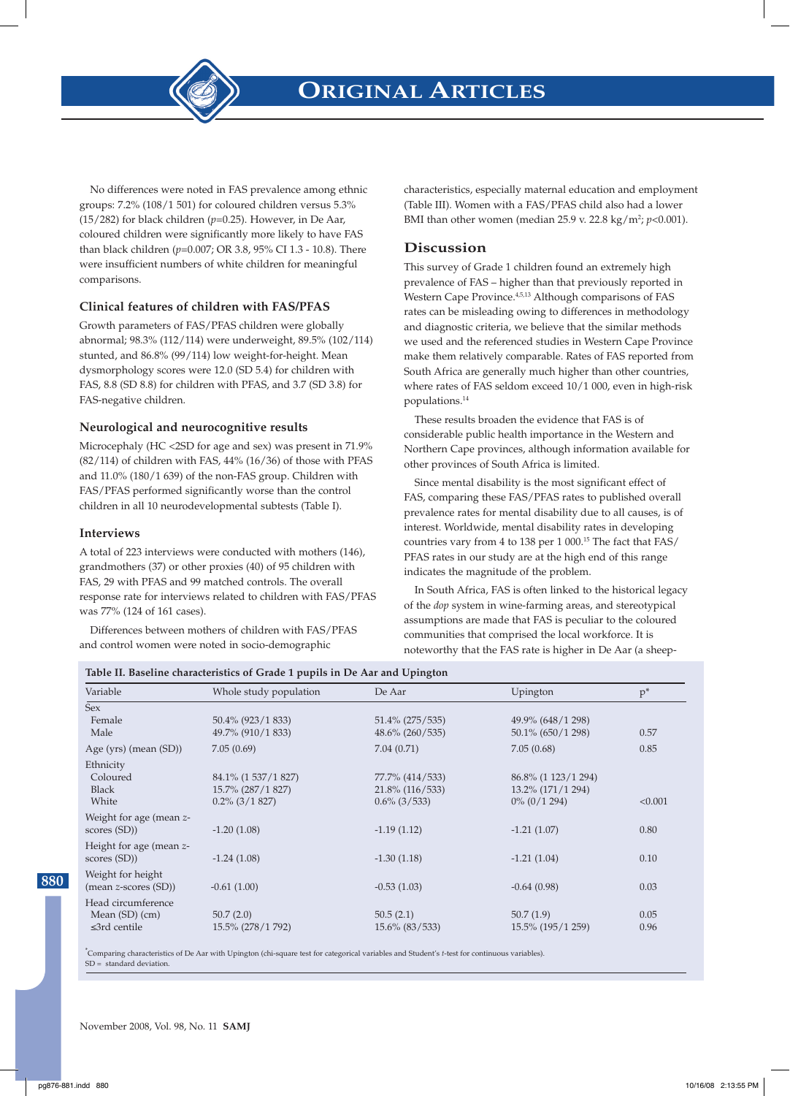

No differences were noted in FAS prevalence among ethnic groups: 7.2% (108/1 501) for coloured children versus 5.3% (15/282) for black children (*p*=0.25). However, in De Aar, coloured children were significantly more likely to have FAS than black children (*p*=0.007; OR 3.8, 95% CI 1.3 - 10.8). There were insufficient numbers of white children for meaningful comparisons.

## **Clinical features of children with FAS/PFAS**

Growth parameters of FAS/PFAS children were globally abnormal; 98.3% (112/114) were underweight, 89.5% (102/114) stunted, and 86.8% (99/114) low weight-for-height. Mean dysmorphology scores were 12.0 (SD 5.4) for children with FAS, 8.8 (SD 8.8) for children with PFAS, and 3.7 (SD 3.8) for FAS-negative children.

## **Neurological and neurocognitive results**

Microcephaly (HC <2SD for age and sex) was present in 71.9% (82/114) of children with FAS, 44% (16/36) of those with PFAS and 11.0% (180/1 639) of the non-FAS group. Children with FAS/PFAS performed significantly worse than the control children in all 10 neurodevelopmental subtests (Table I).

## **Interviews**

A total of 223 interviews were conducted with mothers (146), grandmothers (37) or other proxies (40) of 95 children with FAS, 29 with PFAS and 99 matched controls. The overall response rate for interviews related to children with FAS/PFAS was 77% (124 of 161 cases).

Differences between mothers of children with FAS/PFAS and control women were noted in socio-demographic

characteristics, especially maternal education and employment (Table III). Women with a FAS/PFAS child also had a lower BMI than other women (median 25.9 v. 22.8 kg/m<sup>2</sup>; *p*<0.001).

## **Discussion**

This survey of Grade 1 children found an extremely high prevalence of FAS – higher than that previously reported in Western Cape Province.4,5,13 Although comparisons of FAS rates can be misleading owing to differences in methodology and diagnostic criteria, we believe that the similar methods we used and the referenced studies in Western Cape Province make them relatively comparable. Rates of FAS reported from South Africa are generally much higher than other countries, where rates of FAS seldom exceed 10/1 000, even in high-risk populations.14

These results broaden the evidence that FAS is of considerable public health importance in the Western and Northern Cape provinces, although information available for other provinces of South Africa is limited.

Since mental disability is the most significant effect of FAS, comparing these FAS/PFAS rates to published overall prevalence rates for mental disability due to all causes, is of interest. Worldwide, mental disability rates in developing countries vary from 4 to 138 per 1 000. $^{15}$  The fact that FAS/  $\,$ PFAS rates in our study are at the high end of this range indicates the magnitude of the problem.

In South Africa, FAS is often linked to the historical legacy of the *dop* system in wine-farming areas, and stereotypical assumptions are made that FAS is peculiar to the coloured communities that comprised the local workforce. It is noteworthy that the FAS rate is higher in De Aar (a sheep-

## **Table II. Baseline characteristics of Grade 1 pupils in De Aar and Upington**

| Variable                | Whole study population | De Aar             | Upington             | $p^*$   |
|-------------------------|------------------------|--------------------|----------------------|---------|
| <b>Sex</b>              |                        |                    |                      |         |
| Female                  | 50.4% (923/1 833)      | $51.4\%$ (275/535) | 49.9% (648/1 298)    |         |
| Male                    | 49.7% (910/1 833)      | $48.6\%$ (260/535) | $50.1\%$ (650/1 298) | 0.57    |
| Age (yrs) (mean (SD))   | 7.05(0.69)             | 7.04(0.71)         | 7.05(0.68)           | 0.85    |
| Ethnicity               |                        |                    |                      |         |
| Coloured                | 84.1% (1 537/1 827)    | 77.7% (414/533)    | 86.8% (1 123/1 294)  |         |
| <b>Black</b>            | 15.7% (287/1 827)      | $21.8\%$ (116/533) | 13.2% (171/1 294)    |         |
| White                   | $0.2\%$ (3/1 827)      | $0.6\%$ (3/533)    | $0\%$ (0/1 294)      | < 0.001 |
| Weight for age (mean z- |                        |                    |                      |         |
| scores (SD))            | $-1.20(1.08)$          | $-1.19(1.12)$      | $-1.21(1.07)$        | 0.80    |
| Height for age (mean z- |                        |                    |                      |         |
| scores (SD))            | $-1.24(1.08)$          | $-1.30(1.18)$      | $-1.21(1.04)$        | 0.10    |
| Weight for height       |                        |                    |                      |         |
| (mean z-scores (SD))    | $-0.61(1.00)$          | $-0.53(1.03)$      | $-0.64(0.98)$        | 0.03    |
| Head circumference      |                        |                    |                      |         |
| Mean $(SD)$ $(cm)$      | 50.7(2.0)              | 50.5(2.1)          | 50.7(1.9)            | 0.05    |
| $\leq$ 3rd centile      | 15.5% (278/1 792)      | $15.6\%$ (83/533)  | 15.5% (195/1 259)    | 0.96    |
|                         |                        |                    |                      |         |

\* Comparing characteristics of De Aar with Upington (chi-square test for categorical variables and Student's *t*-test for continuous variables).  $SD =$  standard deviation.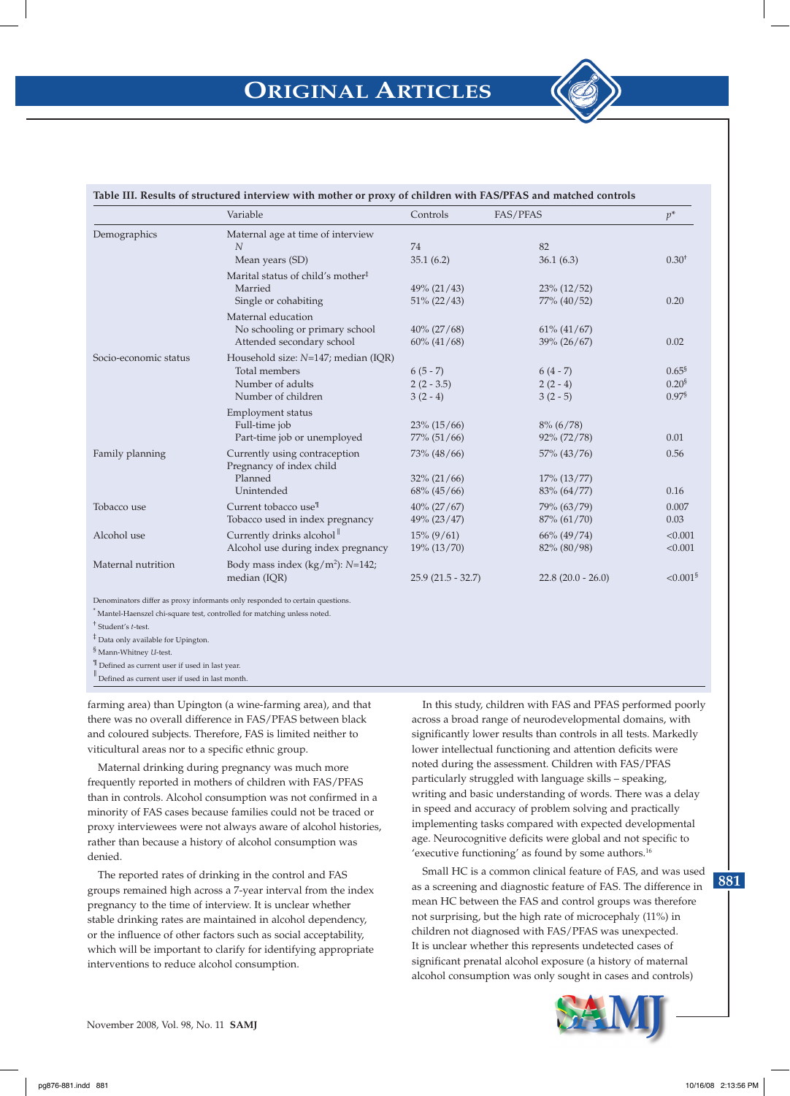|                       | Variable                                                                                          | Controls                                     | FAS/PFAS                                       | $p^*$                                          |
|-----------------------|---------------------------------------------------------------------------------------------------|----------------------------------------------|------------------------------------------------|------------------------------------------------|
| Demographics          | Maternal age at time of interview<br>N                                                            | 74                                           | 82                                             |                                                |
|                       | Mean years (SD)                                                                                   | 35.1(6.2)                                    | 36.1(6.3)                                      | $0.30^{+}$                                     |
|                       | Marital status of child's mother <sup>‡</sup><br>Married<br>Single or cohabiting                  | $49\%$ (21/43)<br>$51\% (22/43)$             | $23\%$ (12/52)<br>77% (40/52)                  | 0.20                                           |
|                       | Maternal education<br>No schooling or primary school<br>Attended secondary school                 | $40\% (27/68)$<br>$60\%$ $(41/68)$           | $61\%$ $(41/67)$<br>39% (26/67)                | 0.02                                           |
| Socio-economic status | Household size: $N=147$ ; median (IQR)<br>Total members<br>Number of adults<br>Number of children | $6(5-7)$<br>$2(2 - 3.5)$<br>$3(2-4)$         | $6(4-7)$<br>$2(2-4)$<br>$3(2-5)$               | $0.65^{\$}$<br>$0.20^{8}$<br>0.97 <sup>§</sup> |
|                       | <b>Employment status</b><br>Full-time job<br>Part-time job or unemployed                          | $23\%$ (15/66)<br>$77\%$ $(51/66)$           | $8\% (6/78)$<br>92% (72/78)                    | 0.01                                           |
| Family planning       | Currently using contraception<br>Pregnancy of index child<br>Planned<br>Unintended                | 73% (48/66)<br>$32\% (21/66)$<br>68% (45/66) | 57% (43/76)<br>$17\%$ $(13/77)$<br>83% (64/77) | 0.56<br>0.16                                   |
| Tobacco use           | Current tobacco use <sup>1</sup><br>Tobacco used in index pregnancy                               | $40\% (27/67)$<br>$49\% (23/47)$             | 79% (63/79)<br>87% (61/70)                     | 0.007<br>0.03                                  |
| Alcohol use           | Currently drinks alcohol <sup>1</sup><br>Alcohol use during index pregnancy                       | $15\% (9/61)$<br>$19\%$ $(13/70)$            | $66\%$ (49/74)<br>82% (80/98)                  | < 0.001<br>< 0.001                             |
| Maternal nutrition    | Body mass index $(kg/m^2)$ : N=142;<br>median (IQR)                                               | $25.9(21.5 - 32.7)$                          | $22.8(20.0 - 26.0)$                            | $\leq 0.001$ §                                 |

## **Table III. Results of structured interview with mother or proxy of children with FAS/PFAS and matched controls**

\* Mantel-Haenszel chi-square test, controlled for matching unless noted.

† Student's *t*-test.

‡ Data only available for Upington.

§ Mann-Whitney *U*-test.

 $\P$  Defined as current user if used in last year.

Defined as current user if used in last month.

farming area) than Upington (a wine-farming area), and that there was no overall difference in FAS/PFAS between black and coloured subjects. Therefore, FAS is limited neither to viticultural areas nor to a specific ethnic group.

Maternal drinking during pregnancy was much more frequently reported in mothers of children with FAS/PFAS than in controls. Alcohol consumption was not confirmed in a minority of FAS cases because families could not be traced or proxy interviewees were not always aware of alcohol histories, rather than because a history of alcohol consumption was denied.

The reported rates of drinking in the control and FAS groups remained high across a 7-year interval from the index pregnancy to the time of interview. It is unclear whether stable drinking rates are maintained in alcohol dependency, or the influence of other factors such as social acceptability, which will be important to clarify for identifying appropriate interventions to reduce alcohol consumption.

In this study, children with FAS and PFAS performed poorly across a broad range of neurodevelopmental domains, with significantly lower results than controls in all tests. Markedly lower intellectual functioning and attention deficits were noted during the assessment. Children with FAS/PFAS particularly struggled with language skills – speaking, writing and basic understanding of words. There was a delay in speed and accuracy of problem solving and practically implementing tasks compared with expected developmental age. Neurocognitive deficits were global and not specific to 'executive functioning' as found by some authors.<sup>16</sup>

Small HC is a common clinical feature of FAS, and was used as a screening and diagnostic feature of FAS. The difference in mean HC between the FAS and control groups was therefore not surprising, but the high rate of microcephaly (11%) in children not diagnosed with FAS/PFAS was unexpected. It is unclear whether this represents undetected cases of significant prenatal alcohol exposure (a history of maternal alcohol consumption was only sought in cases and controls)